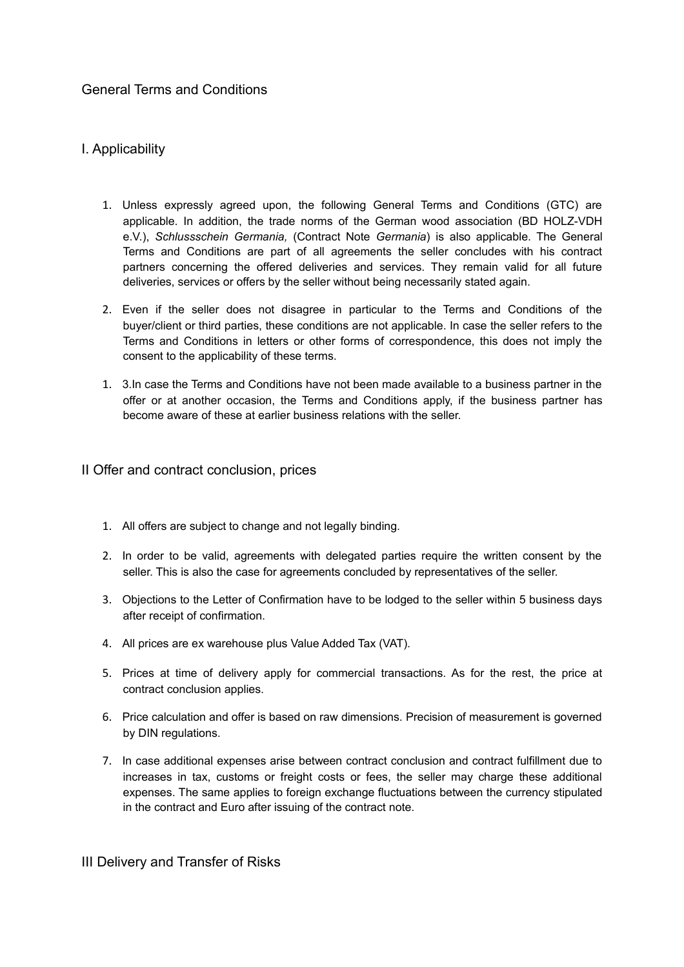# General Terms and Conditions

# I. Applicability

- 1. Unless expressly agreed upon, the following General Terms and Conditions (GTC) are applicable. In addition, the trade norms of the German wood association (BD HOLZ-VDH e.V.), *Schlussschein Germania,* (Contract Note *Germania*) is also applicable. The General Terms and Conditions are part of all agreements the seller concludes with his contract partners concerning the offered deliveries and services. They remain valid for all future deliveries, services or offers by the seller without being necessarily stated again.
- 2. Even if the seller does not disagree in particular to the Terms and Conditions of the buyer/client or third parties, these conditions are not applicable. In case the seller refers to the Terms and Conditions in letters or other forms of correspondence, this does not imply the consent to the applicability of these terms.
- 1. 3.In case the Terms and Conditions have not been made available to a business partner in the offer or at another occasion, the Terms and Conditions apply, if the business partner has become aware of these at earlier business relations with the seller.

#### II Offer and contract conclusion, prices

- 1. All offers are subject to change and not legally binding.
- 2. In order to be valid, agreements with delegated parties require the written consent by the seller. This is also the case for agreements concluded by representatives of the seller.
- 3. Objections to the Letter of Confirmation have to be lodged to the seller within 5 business days after receipt of confirmation.
- 4. All prices are ex warehouse plus Value Added Tax (VAT).
- 5. Prices at time of delivery apply for commercial transactions. As for the rest, the price at contract conclusion applies.
- 6. Price calculation and offer is based on raw dimensions. Precision of measurement is governed by DIN regulations.
- 7. In case additional expenses arise between contract conclusion and contract fulfillment due to increases in tax, customs or freight costs or fees, the seller may charge these additional expenses. The same applies to foreign exchange fluctuations between the currency stipulated in the contract and Euro after issuing of the contract note.

#### III Delivery and Transfer of Risks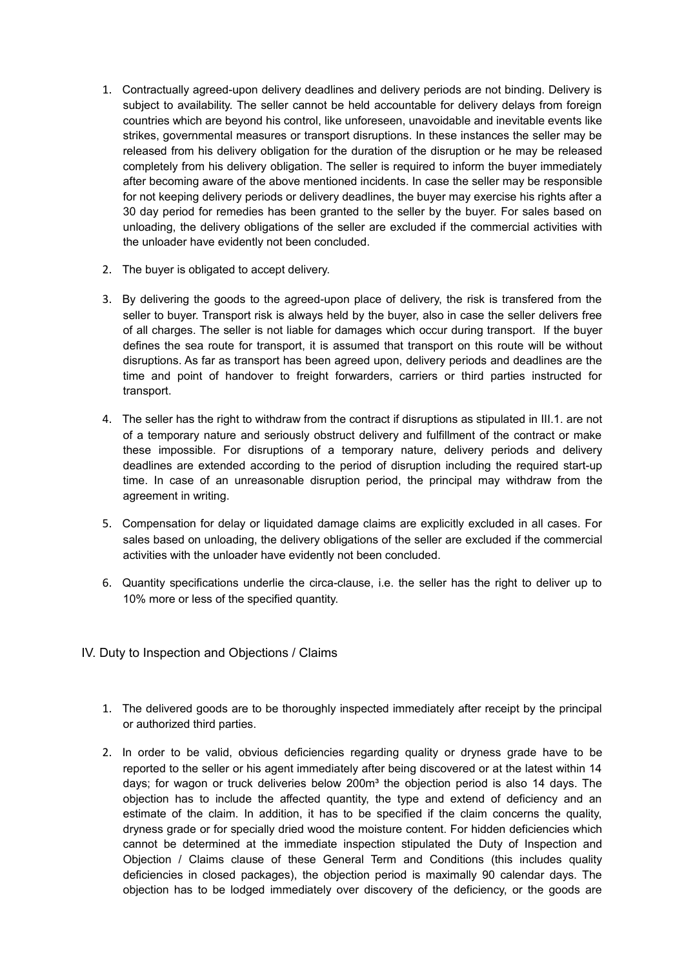- 1. Contractually agreed-upon delivery deadlines and delivery periods are not binding. Delivery is subject to availability. The seller cannot be held accountable for delivery delays from foreign countries which are beyond his control, like unforeseen, unavoidable and inevitable events like strikes, governmental measures or transport disruptions. In these instances the seller may be released from his delivery obligation for the duration of the disruption or he may be released completely from his delivery obligation. The seller is required to inform the buyer immediately after becoming aware of the above mentioned incidents. In case the seller may be responsible for not keeping delivery periods or delivery deadlines, the buyer may exercise his rights after a 30 day period for remedies has been granted to the seller by the buyer. For sales based on unloading, the delivery obligations of the seller are excluded if the commercial activities with the unloader have evidently not been concluded.
- 2. The buyer is obligated to accept delivery.
- 3. By delivering the goods to the agreed-upon place of delivery, the risk is transfered from the seller to buyer. Transport risk is always held by the buyer, also in case the seller delivers free of all charges. The seller is not liable for damages which occur during transport. If the buyer defines the sea route for transport, it is assumed that transport on this route will be without disruptions. As far as transport has been agreed upon, delivery periods and deadlines are the time and point of handover to freight forwarders, carriers or third parties instructed for transport.
- 4. The seller has the right to withdraw from the contract if disruptions as stipulated in III.1. are not of a temporary nature and seriously obstruct delivery and fulfillment of the contract or make these impossible. For disruptions of a temporary nature, delivery periods and delivery deadlines are extended according to the period of disruption including the required start-up time. In case of an unreasonable disruption period, the principal may withdraw from the agreement in writing.
- 5. Compensation for delay or liquidated damage claims are explicitly excluded in all cases. For sales based on unloading, the delivery obligations of the seller are excluded if the commercial activities with the unloader have evidently not been concluded.
- 6. Quantity specifications underlie the circa-clause, i.e. the seller has the right to deliver up to 10% more or less of the specified quantity.
- IV. Duty to Inspection and Objections / Claims
	- 1. The delivered goods are to be thoroughly inspected immediately after receipt by the principal or authorized third parties.
	- 2. In order to be valid, obvious deficiencies regarding quality or dryness grade have to be reported to the seller or his agent immediately after being discovered or at the latest within 14 days; for wagon or truck deliveries below  $200<sup>m</sup>$  the objection period is also 14 days. The objection has to include the affected quantity, the type and extend of deficiency and an estimate of the claim. In addition, it has to be specified if the claim concerns the quality, dryness grade or for specially dried wood the moisture content. For hidden deficiencies which cannot be determined at the immediate inspection stipulated the Duty of Inspection and Objection / Claims clause of these General Term and Conditions (this includes quality deficiencies in closed packages), the objection period is maximally 90 calendar days. The objection has to be lodged immediately over discovery of the deficiency, or the goods are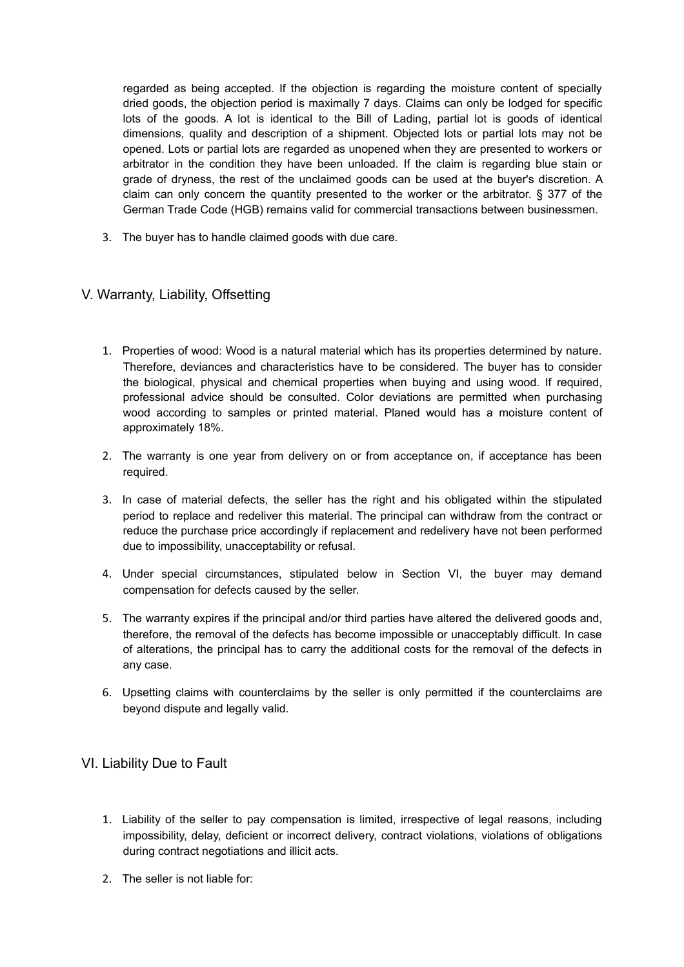regarded as being accepted. If the objection is regarding the moisture content of specially dried goods, the objection period is maximally 7 days. Claims can only be lodged for specific lots of the goods. A lot is identical to the Bill of Lading, partial lot is goods of identical dimensions, quality and description of a shipment. Objected lots or partial lots may not be opened. Lots or partial lots are regarded as unopened when they are presented to workers or arbitrator in the condition they have been unloaded. If the claim is regarding blue stain or grade of dryness, the rest of the unclaimed goods can be used at the buyer's discretion. A claim can only concern the quantity presented to the worker or the arbitrator. § 377 of the German Trade Code (HGB) remains valid for commercial transactions between businessmen.

3. The buyer has to handle claimed goods with due care.

# V. Warranty, Liability, Offsetting

- 1. Properties of wood: Wood is a natural material which has its properties determined by nature. Therefore, deviances and characteristics have to be considered. The buyer has to consider the biological, physical and chemical properties when buying and using wood. If required, professional advice should be consulted. Color deviations are permitted when purchasing wood according to samples or printed material. Planed would has a moisture content of approximately 18%.
- 2. The warranty is one year from delivery on or from acceptance on, if acceptance has been required.
- 3. In case of material defects, the seller has the right and his obligated within the stipulated period to replace and redeliver this material. The principal can withdraw from the contract or reduce the purchase price accordingly if replacement and redelivery have not been performed due to impossibility, unacceptability or refusal.
- 4. Under special circumstances, stipulated below in Section VI, the buyer may demand compensation for defects caused by the seller.
- 5. The warranty expires if the principal and/or third parties have altered the delivered goods and, therefore, the removal of the defects has become impossible or unacceptably difficult. In case of alterations, the principal has to carry the additional costs for the removal of the defects in any case.
- 6. Upsetting claims with counterclaims by the seller is only permitted if the counterclaims are beyond dispute and legally valid.

# VI. Liability Due to Fault

- 1. Liability of the seller to pay compensation is limited, irrespective of legal reasons, including impossibility, delay, deficient or incorrect delivery, contract violations, violations of obligations during contract negotiations and illicit acts.
- 2. The seller is not liable for: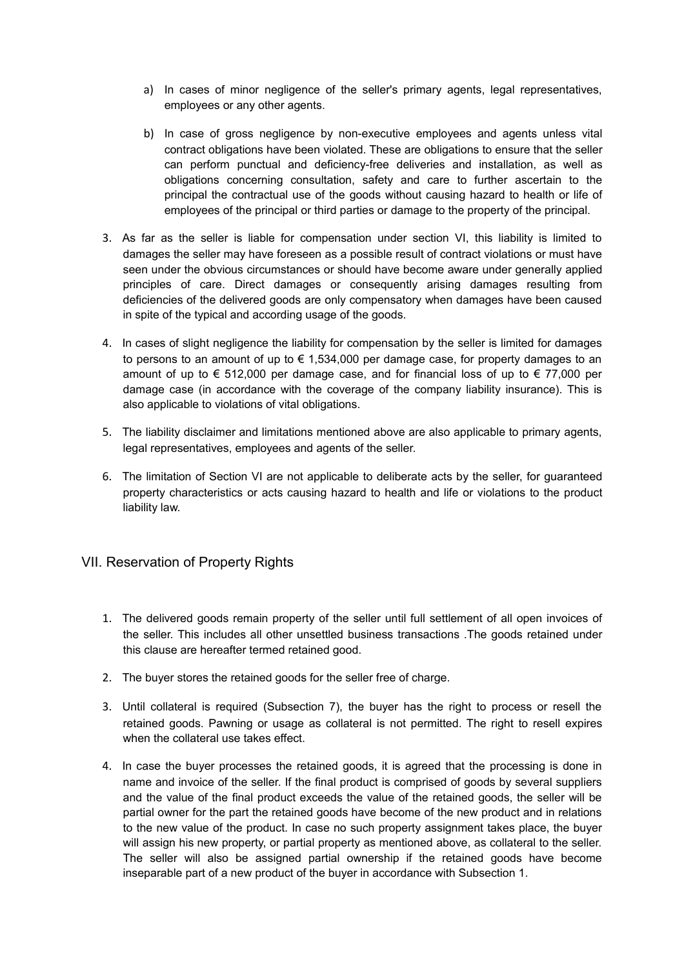- a) In cases of minor negligence of the seller's primary agents, legal representatives, employees or any other agents.
- b) In case of gross negligence by non-executive employees and agents unless vital contract obligations have been violated. These are obligations to ensure that the seller can perform punctual and deficiency-free deliveries and installation, as well as obligations concerning consultation, safety and care to further ascertain to the principal the contractual use of the goods without causing hazard to health or life of employees of the principal or third parties or damage to the property of the principal.
- 3. As far as the seller is liable for compensation under section VI, this liability is limited to damages the seller may have foreseen as a possible result of contract violations or must have seen under the obvious circumstances or should have become aware under generally applied principles of care. Direct damages or consequently arising damages resulting from deficiencies of the delivered goods are only compensatory when damages have been caused in spite of the typical and according usage of the goods.
- 4. In cases of slight negligence the liability for compensation by the seller is limited for damages to persons to an amount of up to  $\epsilon$  1,534,000 per damage case, for property damages to an amount of up to  $\epsilon$  512,000 per damage case, and for financial loss of up to  $\epsilon$  77,000 per damage case (in accordance with the coverage of the company liability insurance). This is also applicable to violations of vital obligations.
- 5. The liability disclaimer and limitations mentioned above are also applicable to primary agents, legal representatives, employees and agents of the seller.
- 6. The limitation of Section VI are not applicable to deliberate acts by the seller, for guaranteed property characteristics or acts causing hazard to health and life or violations to the product liability law.

# VII. Reservation of Property Rights

- 1. The delivered goods remain property of the seller until full settlement of all open invoices of the seller. This includes all other unsettled business transactions .The goods retained under this clause are hereafter termed retained good.
- 2. The buyer stores the retained goods for the seller free of charge.
- 3. Until collateral is required (Subsection 7), the buyer has the right to process or resell the retained goods. Pawning or usage as collateral is not permitted. The right to resell expires when the collateral use takes effect.
- 4. In case the buyer processes the retained goods, it is agreed that the processing is done in name and invoice of the seller. If the final product is comprised of goods by several suppliers and the value of the final product exceeds the value of the retained goods, the seller will be partial owner for the part the retained goods have become of the new product and in relations to the new value of the product. In case no such property assignment takes place, the buyer will assign his new property, or partial property as mentioned above, as collateral to the seller. The seller will also be assigned partial ownership if the retained goods have become inseparable part of a new product of the buyer in accordance with Subsection 1.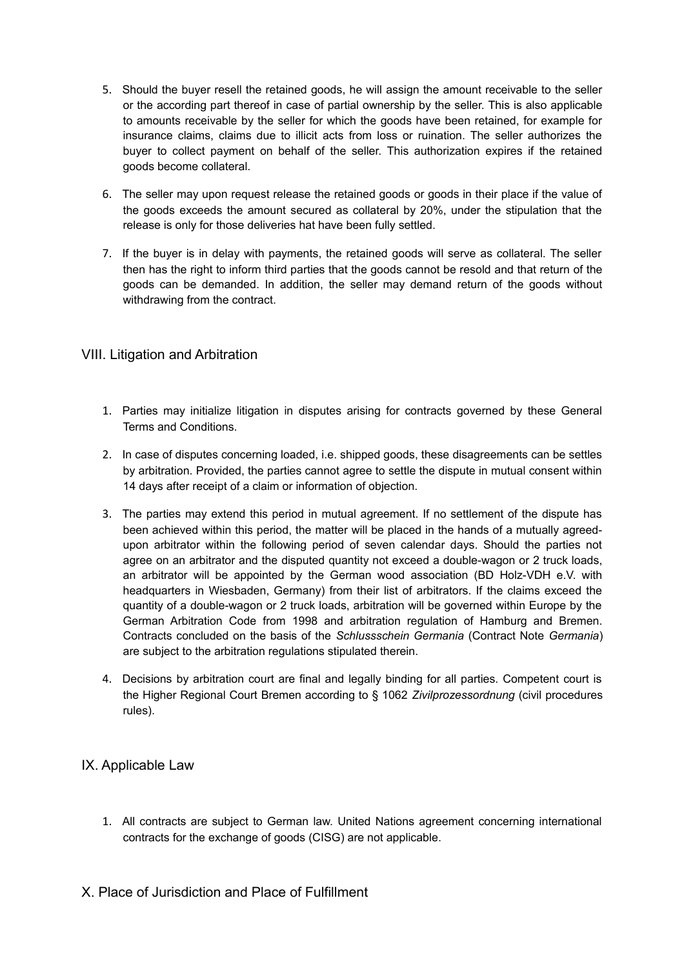- 5. Should the buyer resell the retained goods, he will assign the amount receivable to the seller or the according part thereof in case of partial ownership by the seller. This is also applicable to amounts receivable by the seller for which the goods have been retained, for example for insurance claims, claims due to illicit acts from loss or ruination. The seller authorizes the buyer to collect payment on behalf of the seller. This authorization expires if the retained goods become collateral.
- 6. The seller may upon request release the retained goods or goods in their place if the value of the goods exceeds the amount secured as collateral by 20%, under the stipulation that the release is only for those deliveries hat have been fully settled.
- 7. If the buyer is in delay with payments, the retained goods will serve as collateral. The seller then has the right to inform third parties that the goods cannot be resold and that return of the goods can be demanded. In addition, the seller may demand return of the goods without withdrawing from the contract.

#### VIII. Litigation and Arbitration

- 1. Parties may initialize litigation in disputes arising for contracts governed by these General Terms and Conditions.
- 2. In case of disputes concerning loaded, i.e. shipped goods, these disagreements can be settles by arbitration. Provided, the parties cannot agree to settle the dispute in mutual consent within 14 days after receipt of a claim or information of objection.
- 3. The parties may extend this period in mutual agreement. If no settlement of the dispute has been achieved within this period, the matter will be placed in the hands of a mutually agreedupon arbitrator within the following period of seven calendar days. Should the parties not agree on an arbitrator and the disputed quantity not exceed a double-wagon or 2 truck loads, an arbitrator will be appointed by the German wood association (BD Holz-VDH e.V. with headquarters in Wiesbaden, Germany) from their list of arbitrators. If the claims exceed the quantity of a double-wagon or 2 truck loads, arbitration will be governed within Europe by the German Arbitration Code from 1998 and arbitration regulation of Hamburg and Bremen. Contracts concluded on the basis of the *Schlussschein Germania* (Contract Note *Germania*) are subject to the arbitration regulations stipulated therein.
- 4. Decisions by arbitration court are final and legally binding for all parties. Competent court is the Higher Regional Court Bremen according to § 1062 *Zivilprozessordnung* (civil procedures rules).

# IX. Applicable Law

1. All contracts are subject to German law. United Nations agreement concerning international contracts for the exchange of goods (CISG) are not applicable.

# X. Place of Jurisdiction and Place of Fulfillment